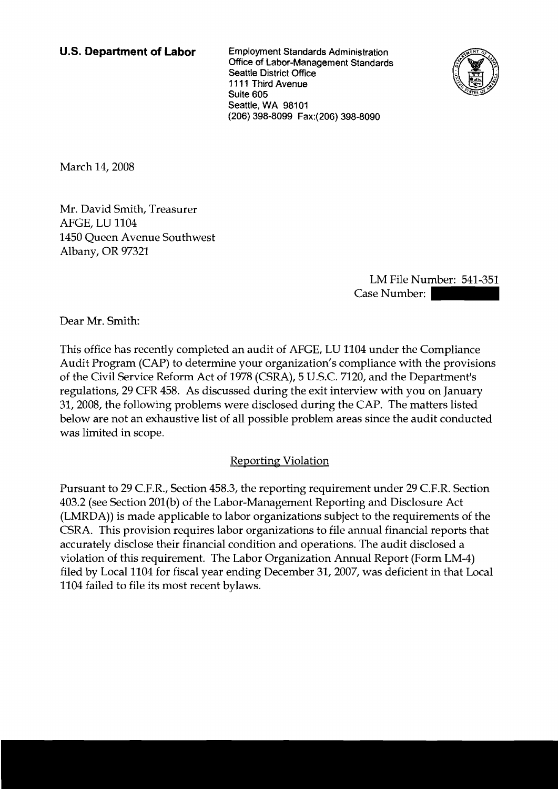**U.S. Department of Labor** Employment Standards Administration Office of Labor-Management Standards Seattle District Office 1 1 1 1 **Third** Avenue Suite 605 Seattle, WA 98101 (206) 398-8099 Fax:(206) 398-8090



March 14, 2008

Mr. David Smith, Treasurer AFGE, LU 1104 1450 Queen Avenue Southwest Albany, OR 97321

LM File Number: 541-351 3-8090<br>LM File Number: 541-351<br>Case Number:

Dear Mr. Smith:

This office has recently completed an audit of AFGE, LU 1104 under the Compliance Audit Program (CAP) to determine your organization's compliance with the provisions of the Civil Service Reform Act of 1978 (CSRA), 5 U.S.C. 7120, and the Department's regulations, 29 CFR 458. As discussed during the exit interview with you on January 31,2008, the following problems were disclosed during the CAP. The matters listed below are not an exhaustive list of all possible problem areas since the audit conducted was limited in scope.

## Reporting Violation

Pursuant to 29 C.F.R., Section 458.3, the reporting requirement under 29 C.F.R. Section 403.2 (see Section 201(b) of the Labor-Management Reporting and Disclosure Act (LMRDA)) is made applicable to labor organizations subject to the requirements of the CSRA. This provision requires labor organizations to file annual financial reports that accurately disclose their financial condition and operations. The audit disclosed a violation of this requirement. The Labor Organization Annual Report (Form LM-4) filed by Local 1104 for fiscal year ending December 31,2007, was deficient in that Local 1104 failed to file its most recent bylaws.